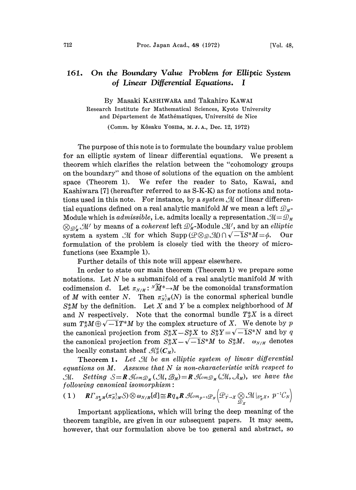## 161. On the Boundary Value Problem for Elliptic System of Linear Differential Equations. <sup>I</sup>

By Masaki KASHIWARA and Takahiro KAWAI Research Institute for Mathematical Sciences, Kyoto University and Département de Mathématiques, Université de Nice

(Comm. by Kôsaku Yosina, M.J.A., Dec. 12, 1972)

The purpose of this note is to formulate the boundary value problem for an elliptic system of linear differential equations. We present <sup>a</sup> theorem which clarifies the relation between the "'cohomology groups on the boundary" and those of solutions of the equation on the ambient space (Theorem 1). We refer the reader to Sato, Kawai, and Kashiwara [7] (hereafter referred to as S-K-K) as for notions and notations used in this note. For instance, by a system  $\mathcal M$  of linear differential equations defined on a real analytic manifold M we mean a left  $\mathcal{D}_{M}$ -Module which is *admissible*, i.e. admits locally a representation  $\mathcal{M} = \mathcal{D}_M$ <br> $\otimes_{\mathcal{D}_M^f} \mathcal{M}^f$  by means of a *coherent* left  $\mathcal{D}_M^f$ -Module  $\mathcal{M}^f$ , and by an *elliptic*<br>system a system  $\mathcal M$  for whi system a system M for which  $\text{Supp}\left(\mathcal{Q}\otimes_{\mathcal{Q}}\mathcal{M}\right)\cap \sqrt{-1}S^*M=\phi.$ Module which is  $\emph{admissible}$ , i.e.  $\emph{admits locally}$ Our formulation of the problem is closely tied with the theory of microfunctions (see Example 1).

Further details of this note will appear elsewhere.

In order to state our main theorem (Theorem 1) we prepare some notations. Let  $N$  be a submanifold of a real analytic manifold  $M$  with codimension d. Let  $\pi_{N/M}: {}^N \widetilde{M}^* \to M$  be the comonoidal transformation of M with center N. Then  $\pi_{N/M}^{-1}(N)$  is the conormal spherical bundle  $S_N^*M$  by the definition. Let X and Y be a complex neighborhood of M and N respectively. Note that the conormal bundle  $T_N^*X$  is a direct sum  $T^*_x M \oplus \sqrt{-1}T^*M$  by the complex structure of X. We denote by p the canonical projection from  $S_N^*X - S_Y^*X$  to  $S_N^*Y = \sqrt{-1}S^*N$  and by q the canonical projection from  $S_N^*X-\sqrt{-1}S^*M$  to  $S_N^*M$ .  $\omega_{N/M}$  denotes the locally constant sheaf  $\mathcal{H}_N^d(C_M)$ .

**Theorem 1.** Let  $\mathcal M$  be an elliptic system of linear differential equations on  $M$ . Assume that  $N$  is non-characteristic with respect to M. Setting  $S=R\mathcal{M}_{\text{om} \mathcal{D}_M}(\mathcal{M}, \mathcal{B}_M)=R\mathcal{M}_{\text{om} \mathcal{D}_M}(\mathcal{M}, \mathcal{A}_M)$ , we have the  $following\ canonical\ isomorphism:$ 

$$
(1) \qquad \mathbf{R}\Gamma_{S_N^*M}(\pi_{N/M}^{-1}S)\otimes \omega_{N/M}[d]\cong \mathbf{R}q_*\mathbf{R}\,\mathcal{H}om_{p^{-1}}\mathcal{P}_N\left(\mathcal{P}_{Y\rightarrow X}\underset{\mathcal{D}_X}{\otimes}\mathcal{M}|_{S_N^*X},\ p^{-1}\mathcal{C}_N\right)
$$

Important applications, which will bring the deep meaning of the theorem tangible, are given in our subsequent papers. It may seem, however, that our formulation above be too general and abstract, so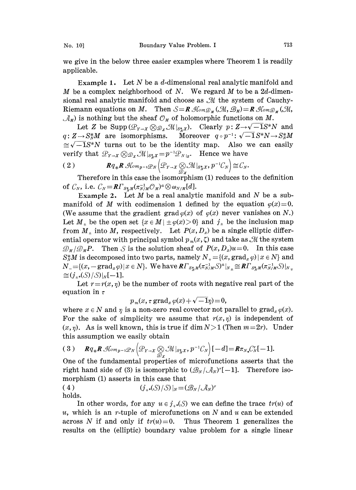we give in the below three easier examples where Theorem <sup>1</sup> is readily applicable.

Example 1. Let  $N$  be a d-dimensional real analytic manifold and M be a complex neighborhood of N. We regard M to be a  $2d$ -dimensional real analytic manifold and choose as  $M$  the system of Cauchy-M be a complex neighborhood of N. We regard M to be a 2d-dimensional real analytic manifold and choose as  $\mathcal M$  the system of Cauchy-<br>Riemann equations on M. Then  $S = \mathbb{R}$   $\mathcal{H}_{\text{om}} \mathcal{D}_{\mathcal{M}}(\mathcal{M}, \mathcal{B}_{\mathcal{M}}) = \math$  $\mathcal{A}_M$ ) is nothing but the sheaf  $\mathcal{O}_M$  of holomorphic functions on M.<br>Let Z be Supp $(\mathcal{L}_{Y\to X} \otimes \mathcal{D}_X \mathcal{M}|_{S\overset{*}{\star}X})$ . Clearly  $p: Z \to \sqrt{-1}S^*N$  and

 $q: Z \to S_N^*M$  are isomorphisms. Moreover  $q \circ p^{-1}: \sqrt{-1}S^*N \to S_N^*M$ <br>  $\cong \sqrt{-1}S^*N$  turns out to be the identity map. Also we can easily<br>
verify that  $\mathcal{L}_{Y\to X} \otimes \mathcal{Q}_X \mathcal{M}|_{S_N^*X} = p^{-1}\mathcal{Q}_{N|_Z}$ . Hence we have<br>
(2)  $\approx \sqrt{-1}S^*N$  turns out to be the identity map. Also we can easily verify that  $\mathcal{P}_{Y\to X} \otimes \mathcal{P}_{X} \mathcal{M}|_{S^*_{X}X} = p^{-1} \mathcal{P}_{N|Z}$ . Hence we have

$$
(2) \t\t Rq_{*}R \mathcal{A}_{\ell m p-1} \mathcal{D}_{N} \Big( \mathcal{D}_{Y\to X} \underset{\mathcal{D}_{X}}{\otimes} \mathcal{M} |_{S_{N}^{*}X}, p^{-1} \mathcal{C}_{N} \Big) \cong \mathcal{C}_{N}.
$$

Therefore in this case the isomorphism (1) reduces to the definition of  $\mathcal{C}_N$ , i.e.  $\mathcal{C}_N = \mathbf{R} \Gamma_{S_N^*M} (\pi_{N/M}^{-1} \mathcal{O}_M)^a \otimes \omega_{N/M} [d].$ 

Example 2. Let  $M$  be a real analytic manifold and  $N$  be a submanifold of M with codimension 1 defined by the equation  $\varphi(x)=0$ . (We assume that the gradient grad  $\varphi(x)$  of  $\varphi(x)$  never vanishes on N.) Let  $M_{\pm}$  be the open set  $\{x \in M | \pm \varphi(x) > 0\}$  and  $j_{\pm}$  be the inclusion map from  $M_{\pm}$  into M, respectively. Let  $P(x, D_x)$  be a single elliptic differential operator with principal symbol  $p_m(x, \zeta)$  and take as  $\mathcal M$  the system  $\mathcal{D}_{M}/\mathcal{D}_{M}P$ . Then S is the solution sheaf of  $P(x,D_x)u=0$ . In this case  $S_N^*M$  is decomposed into two parts, namely  $N_+ = \{(x, grad_x \varphi) | x \in N\}$  and  $N_{-}=[(x,-\text{grad}_x\varphi)|x\in N]$ . We have  $\mathbb{R}\Gamma_{S^*_xM}(\pi_{N/M}^{-1}S)^a|_{N_{\pm}}\cong \mathbb{R}\Gamma_{S^*_xM}(\pi_{N/M}^{-1}S)|_{N_{\pm}}$  $\cong (j_{*}*(S)/S)|_{N}[-1].$ 

Let  $r=r(x, \eta)$  be the number of roots with negative real part of the equation in  $\tau$ 

$$
p_m(x, \tau \operatorname{grad}_x \varphi(x) + \sqrt{-1}\eta) = 0,
$$

where  $x \in N$  and  $\eta$  is a non-zero real covector not parallel to grad<sub>x</sub>  $\varphi(x)$ . For the sake of simplicity we assume that  $r(x, \eta)$  is independent of  $(x, \eta)$ . As is well known, this is true if dim  $N > 1$  (Then  $m = 2r$ ). Under this assumption we easily obtain

$$
(3) \qquad Rq_{*}R\,\mathcal{H}om_{p^{-1}}\mathcal{P}_{N}\Big(\mathcal{P}_{Y\rightarrow X}\bigotimes_{\mathcal{D}_{X}}\mathcal{M}|_{S_{N}^{*}X}, p^{-1}C_{N}\Big)[-d]\!=\!R\pi_{N*}\mathcal{C}_{N}^{r}[-1].
$$

One of the fundamental properties of microfunctions asserts that the right hand side of (3) is isomorphic to  $(\mathcal{B}_N/\mathcal{A}_N)^r[-1]$ . Therefore isomorphism (1) asserts in this case that<br>
(4)  $(j_{+}*(S)/S)|_N = (\mathcal{B}_N/\mathcal{A}_N)^r$ 

holds.

In other words, for any  $u \in j_{\ast}(\mathcal{S})$  we can define the trace  $tr(u)$  of u, which is an r-tuple of microfunctions on N and u can be extended across N if and only if  $tr(u)=0$ . Thus Theorem 1 generalizes the results on the (elliptic) boundary value problem for a single linear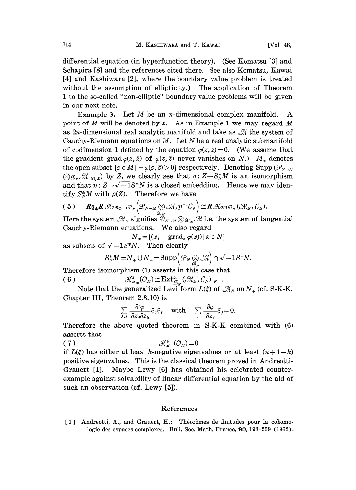differential equation (in hyperfunction theory). (See Komatsu [3] and Schapira [8] and the references cited there. See also Komatsu, Kawai [4] and Kashiwara [2], where the boundary value problem is treated without the assumption of ellipticity.) The application of Theorem 1 to the so-called "non-elliptic" boundary value problems will be given in our next note.

Example 3. Let  $M$  be an *n*-dimensional complex manifold. A point of M will be denoted by z. As in Example 1 we may regard M as  $2n$ -dimensional real analytic manifold and take as  $\mathcal M$  the system of Cauchy-Riemann equations on  $M$ . Let  $N$  be a real analytic submanifold of codimension 1 defined by the equation  $\varphi(z, \bar{z})=0$ . (We assume that the gradient grad  $\varphi(z,\bar{z})$  of  $\varphi(z,\bar{z})$  never vanishes on N.)  $M_{\pm}$  denotes the open subset  $\{z \in M \mid \pm \varphi(z, \bar{z}) > 0\}$  respectively. Denoting Supp  $(\mathcal{P}_{Y \to X})$  $\bigotimes_{\mathcal{D}_X}\mathcal{M}|_{S_X^*X}$  by Z, we clearly see that  $q: Z \rightarrow S_X^*M$  is an isomorphism and that  $p: Z \rightarrow \sqrt{-1}S^*N$  is a closed embedding. Hence we may identify  $S^*_{N}M$  with  $p(Z)$ . Therefore we have

$$
(5) \qquad Rq_{*}R\operatorname{Hom}_{p^{-1}}\mathcal{P}_{N}\Big(\mathcal{P}_{N\to M}\bigotimes_{\mathcal{D}_{M}}\mathcal{M},p^{-1}\mathcal{C}_{N}\Big)\cong R\operatorname{Hom}_{\mathcal{D}_{N}}(\mathcal{M}_{N},\mathcal{C}_{N}).
$$

Here the system  $\mathcal{M}_N$  signifies  $\mathcal{D}_{N-M} \otimes \mathcal{D}_N \mathcal{M}$  i.e. the system of tangential Cauchy-Riemann equations. We also regard<br>  $N_{\pm} = \{(x, \pm \text{grad}_x \varphi(x)) | x \in N\}$ 

$$
N_{\pm} = \{(x, \pm \operatorname{grad}_x \varphi(x)) \, | \, x \in N\}
$$

as subsets of  $\sqrt{-1}S^*N$ . Then clearly

$$
S_N^*M = N_+ \cup N_- = \text{Supp}\left(\mathcal{P}_N \underset{\mathcal{D}_N}{\otimes} \mathcal{M}\right) \cap \sqrt{-1}S^*N.
$$

Therefore isomorphism (1) asserts in this case that (6)  $\mathcal{A}_{\bar{M}_{\pm}}^k(\mathcal{O}_M) \cong \mathrm{Ext}^{k-1}_{\mathcal{D}_N}(\mathcal{M}_N, \mathcal{C}_N)|_{N_{\pm}}.$ 

Note that the generalized Levi form  $L(\xi)$  of  $\mathcal{M}_N$  on  $N_+$  (cf. S-K-K. Chapter III, Theorem 2.3.10) is  $\sum_{\pm}^{3} (U_M) = \text{Ext}_{\mathcal{D}_N}^{\mathcal{D}} (U_{MN}, U_N)|_{N_{\pm}}.$ <br>
eralized Levi form  $L(\xi)$  of  $\mathcal{M}_N$ <br>
2.3.10) is<br>  $\frac{\partial^2 \varphi}{\partial \overline{z}_k} \xi_j \overline{\xi}_k$  with  $\sum_j \frac{\partial \varphi}{\partial z_j} \xi_j = 0.$ 

$$
\sum_{j,k} \frac{\partial^2 \varphi}{\partial z_j \partial \bar{z}_k} \xi_j \bar{\xi}_k \quad \text{with} \quad \sum_j \frac{\partial \varphi}{\partial z_j} \xi_j = 0.
$$

herefore the above quoted theorem in S-K-K combined with (6) asserts that

$$
\mathcal{A}_{\overline{M}+}^k(\mathcal{O}_M)=0
$$

if  $L(\xi)$  has either at least k-negative eigenvalues or at least  $(n+1-k)$ positive eigenvalues. This is the classical theorem proved in Andreotti-Grauert [1]. Maybe Lewy [6] has obtained his celebrated counterexample against solvability of linear differential equation by the aid such an observation (cf. Lewy  $[5]$ ).

## References

[1] Andreotti, A., and Grauert, H.: Théorèmes de finitudes pour la cohomologie des espaces complexes. Bull. Soc. Math. France, 90, 193-259 (1962).